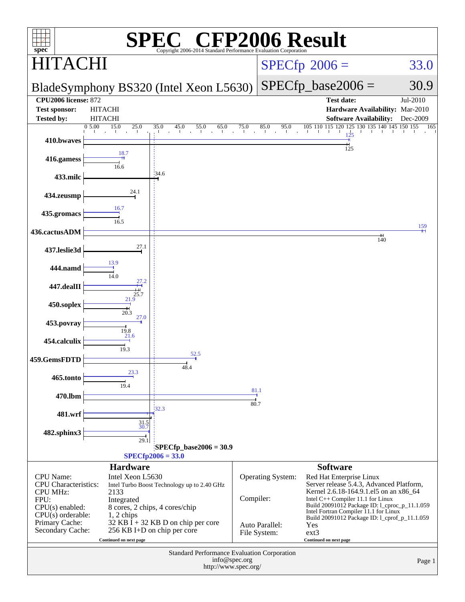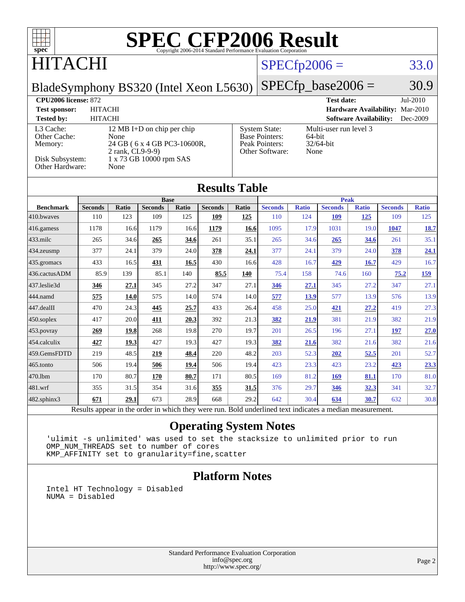| $spec^*$                                                                   |                                  |                                                                                           |                |                             |                      |       | <b>SPEC CFP2006 Result</b><br>Copyright 2006-2014 Standard Performance Evaluation Corporation |                |                                     |                               |                                 |                      |
|----------------------------------------------------------------------------|----------------------------------|-------------------------------------------------------------------------------------------|----------------|-----------------------------|----------------------|-------|-----------------------------------------------------------------------------------------------|----------------|-------------------------------------|-------------------------------|---------------------------------|----------------------|
| HITACHI                                                                    |                                  |                                                                                           |                |                             |                      |       |                                                                                               | $SPECfp2006 =$ |                                     |                               |                                 | 33.0                 |
| BladeSymphony BS320 (Intel Xeon L5630)                                     |                                  |                                                                                           |                |                             |                      |       |                                                                                               |                | $SPECfp\_base2006 =$                |                               |                                 | 30.9                 |
| <b>CPU2006</b> license: 872<br><b>Test sponsor:</b><br><b>Tested by:</b>   | <b>HITACHI</b><br><b>HITACHI</b> |                                                                                           |                |                             |                      |       |                                                                                               |                | <b>Test date:</b>                   | <b>Software Availability:</b> | Hardware Availability: Mar-2010 | Jul-2010<br>Dec-2009 |
| L3 Cache:<br>Other Cache:<br>Memory:<br>Disk Subsystem:<br>Other Hardware: |                                  | 12 MB I+D on chip per chip<br>None<br>2 rank, CL9-9-9)<br>1 x 73 GB 10000 rpm SAS<br>None |                | 24 GB (6 x 4 GB PC3-10600R, |                      |       | <b>System State:</b><br><b>Base Pointers:</b><br>Peak Pointers:<br>Other Software:            | 64-bit<br>None | Multi-user run level 3<br>32/64-bit |                               |                                 |                      |
|                                                                            |                                  |                                                                                           |                |                             | <b>Results Table</b> |       |                                                                                               |                |                                     |                               |                                 |                      |
| <b>Benchmark</b>                                                           | <b>Seconds</b>                   | <b>Ratio</b>                                                                              | <b>Seconds</b> | <b>Base</b><br>Ratio        | <b>Seconds</b>       | Ratio | <b>Seconds</b>                                                                                | <b>Ratio</b>   | <b>Peak</b><br><b>Seconds</b>       | <b>Ratio</b>                  | <b>Seconds</b>                  | <b>Ratio</b>         |
| 410.bwayes                                                                 | 110                              | 123                                                                                       | 109            | 125                         | 109                  | 125   | 110                                                                                           | 124            | <b>109</b>                          | <u>125</u>                    | 109                             | 125                  |
| 416.gamess                                                                 | 1178                             | 16.6                                                                                      | 1179           | 16.6                        | 1179                 | 16.6  | 1095                                                                                          | 17.9           | 1031                                | 19.0                          | 1047                            | 18.7                 |
| 433.milc                                                                   | 265                              | 34.6                                                                                      | 265            | 34.6                        | 261                  | 35.1  | 265                                                                                           | 34.6           | 265                                 | 34.6                          | 261                             | 35.1                 |
| 434.zeusmp                                                                 | 377                              | 24.1                                                                                      | 379            | 24.0                        | 378                  | 24.1  | 377                                                                                           | 24.1           | 379                                 | 24.0                          | 378                             | <u>24.1</u>          |
| 435.gromacs                                                                | 433                              | 16.5                                                                                      | 431            | 16.5                        | 430                  | 16.6  | 428                                                                                           | 16.7           | 429                                 | 16.7                          | 429                             | 16.7                 |
| 436.cactusADM                                                              | 85.9                             | 139                                                                                       | 85.1           | 140                         | 85.5                 | 140   | 75.4                                                                                          | 158            | 74.6                                | 160                           | 75.2                            | 159                  |
| 437.leslie3d                                                               | 346                              | 27.1                                                                                      | 345            | 27.2                        | 347                  | 27.1  | 346                                                                                           | 27.1           | 345                                 | 27.2                          | 347                             | 27.1                 |
| 444.namd                                                                   | 575                              | 14.0                                                                                      | 575            | 14.0                        | 574                  | 14.0  | 577                                                                                           | 13.9           | 577                                 | 13.9                          | 576                             | 13.9                 |
| 447.dealII                                                                 | 470                              | 24.3                                                                                      | 445            | 25.7                        | 433                  | 26.4  | 458                                                                                           | 25.0           | 421                                 | 27.2                          | 419                             | 27.3                 |
| 450.soplex                                                                 | 417                              | 20.0                                                                                      | 411            | 20.3                        | 392                  | 21.3  | 382                                                                                           | 21.9           | 381                                 | 21.9                          | 382                             | 21.9                 |
| 453.povray                                                                 | 269                              | 19.8                                                                                      | 268            | 19.8                        | 270                  | 19.7  | 201                                                                                           | 26.5           | 196                                 | 27.1                          | 197                             | 27.0                 |
| 454.calculix                                                               | 427                              | 19.3                                                                                      | 427            | 19.3                        | 427                  | 19.3  | 382                                                                                           | 21.6           | 382                                 | 21.6                          | 382                             | 21.6                 |
| 459.GemsFDTD                                                               | 219                              | 48.5                                                                                      | 219            | 48.4                        | 220                  | 48.2  | 203                                                                                           | 52.3           | 202                                 | 52.5                          | 201                             | 52.7                 |
| 465.tonto                                                                  | 506                              | 19.4                                                                                      | 506            | 19.4                        | 506                  | 19.4  | 423                                                                                           | 23.3           | 423                                 | 23.2                          | 423                             | 23.3                 |
| 470.1bm                                                                    | 170                              | 80.7                                                                                      | 170            | 80.7                        | 171                  | 80.5  | 169                                                                                           | 81.2           | <b>169</b>                          | 81.1                          | 170                             | 81.0                 |
| 481.wrf                                                                    | 355                              | 31.5                                                                                      | 354            | 31.6                        | 355                  | 31.5  | 376                                                                                           | 29.7           | 346                                 | 32.3                          | 341                             | 32.7                 |
| $482$ .sphinx $3$                                                          | 671                              | 29.1                                                                                      | 673            | 28.9                        | 668                  | 29.2  | 642                                                                                           | 30.4           | 634                                 | 30.7                          | 632                             | 30.8                 |

Results appear in the [order in which they were run.](http://www.spec.org/auto/cpu2006/Docs/result-fields.html#RunOrder) Bold underlined text [indicates a median measurement.](http://www.spec.org/auto/cpu2006/Docs/result-fields.html#Median)

#### **[Operating System Notes](http://www.spec.org/auto/cpu2006/Docs/result-fields.html#OperatingSystemNotes)**

'ulimit -s unlimited' was used to set the stacksize to unlimited prior to run OMP\_NUM\_THREADS set to number of cores KMP\_AFFINITY set to granularity=fine,scatter

### **[Platform Notes](http://www.spec.org/auto/cpu2006/Docs/result-fields.html#PlatformNotes)**

Intel HT Technology = Disabled NUMA = Disabled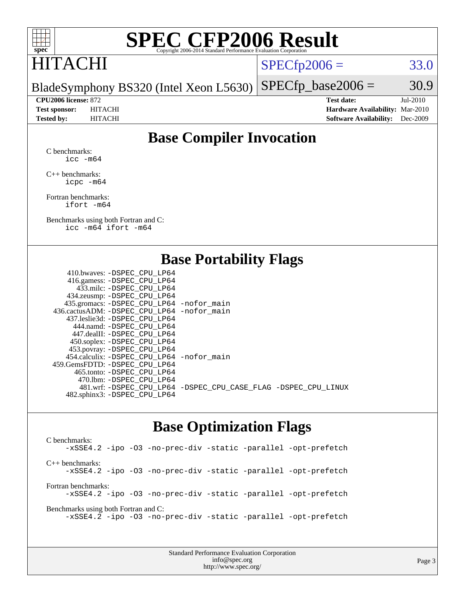

# **[SPEC CFP2006 Result](http://www.spec.org/auto/cpu2006/Docs/result-fields.html#SPECCFP2006Result)**

# HITACHI

 $SPECTp2006 = 33.0$ 

BladeSymphony BS320 (Intel Xeon L5630)  $SPECTp\_base2006 = 30.9$ 

**[CPU2006 license:](http://www.spec.org/auto/cpu2006/Docs/result-fields.html#CPU2006license)** 872 **[Test date:](http://www.spec.org/auto/cpu2006/Docs/result-fields.html#Testdate)** Jul-2010 **[Test sponsor:](http://www.spec.org/auto/cpu2006/Docs/result-fields.html#Testsponsor)** HITACHI **[Hardware Availability:](http://www.spec.org/auto/cpu2006/Docs/result-fields.html#HardwareAvailability)** Mar-2010 **[Tested by:](http://www.spec.org/auto/cpu2006/Docs/result-fields.html#Testedby)** HITACHI **[Software Availability:](http://www.spec.org/auto/cpu2006/Docs/result-fields.html#SoftwareAvailability)** Dec-2009

### **[Base Compiler Invocation](http://www.spec.org/auto/cpu2006/Docs/result-fields.html#BaseCompilerInvocation)**

[C benchmarks](http://www.spec.org/auto/cpu2006/Docs/result-fields.html#Cbenchmarks): [icc -m64](http://www.spec.org/cpu2006/results/res2010q3/cpu2006-20100914-13315.flags.html#user_CCbase_intel_icc_64bit_bda6cc9af1fdbb0edc3795bac97ada53)

[C++ benchmarks:](http://www.spec.org/auto/cpu2006/Docs/result-fields.html#CXXbenchmarks) [icpc -m64](http://www.spec.org/cpu2006/results/res2010q3/cpu2006-20100914-13315.flags.html#user_CXXbase_intel_icpc_64bit_fc66a5337ce925472a5c54ad6a0de310)

[Fortran benchmarks](http://www.spec.org/auto/cpu2006/Docs/result-fields.html#Fortranbenchmarks): [ifort -m64](http://www.spec.org/cpu2006/results/res2010q3/cpu2006-20100914-13315.flags.html#user_FCbase_intel_ifort_64bit_ee9d0fb25645d0210d97eb0527dcc06e)

[Benchmarks using both Fortran and C](http://www.spec.org/auto/cpu2006/Docs/result-fields.html#BenchmarksusingbothFortranandC): [icc -m64](http://www.spec.org/cpu2006/results/res2010q3/cpu2006-20100914-13315.flags.html#user_CC_FCbase_intel_icc_64bit_bda6cc9af1fdbb0edc3795bac97ada53) [ifort -m64](http://www.spec.org/cpu2006/results/res2010q3/cpu2006-20100914-13315.flags.html#user_CC_FCbase_intel_ifort_64bit_ee9d0fb25645d0210d97eb0527dcc06e)

### **[Base Portability Flags](http://www.spec.org/auto/cpu2006/Docs/result-fields.html#BasePortabilityFlags)**

| 410.bwaves: -DSPEC CPU LP64                  |                                                                |
|----------------------------------------------|----------------------------------------------------------------|
| 416.gamess: -DSPEC_CPU_LP64                  |                                                                |
| 433.milc: -DSPEC CPU LP64                    |                                                                |
| 434.zeusmp: -DSPEC_CPU_LP64                  |                                                                |
| 435.gromacs: -DSPEC_CPU_LP64 -nofor_main     |                                                                |
| 436.cactusADM: - DSPEC CPU LP64 - nofor main |                                                                |
| 437.leslie3d: -DSPEC CPU LP64                |                                                                |
| 444.namd: - DSPEC CPU LP64                   |                                                                |
| 447.dealII: - DSPEC CPU LP64                 |                                                                |
| 450.soplex: -DSPEC_CPU_LP64                  |                                                                |
| 453.povray: -DSPEC_CPU_LP64                  |                                                                |
| 454.calculix: -DSPEC CPU LP64 -nofor main    |                                                                |
| 459. GemsFDTD: - DSPEC CPU LP64              |                                                                |
| 465.tonto: - DSPEC CPU LP64                  |                                                                |
| 470.1bm: - DSPEC_CPU LP64                    |                                                                |
|                                              | 481.wrf: -DSPEC CPU_LP64 -DSPEC_CPU_CASE_FLAG -DSPEC_CPU_LINUX |
| 482.sphinx3: -DSPEC_CPU_LP64                 |                                                                |
|                                              |                                                                |

### **[Base Optimization Flags](http://www.spec.org/auto/cpu2006/Docs/result-fields.html#BaseOptimizationFlags)**

[C benchmarks](http://www.spec.org/auto/cpu2006/Docs/result-fields.html#Cbenchmarks): [-xSSE4.2](http://www.spec.org/cpu2006/results/res2010q3/cpu2006-20100914-13315.flags.html#user_CCbase_f-xSSE42_f91528193cf0b216347adb8b939d4107) [-ipo](http://www.spec.org/cpu2006/results/res2010q3/cpu2006-20100914-13315.flags.html#user_CCbase_f-ipo) [-O3](http://www.spec.org/cpu2006/results/res2010q3/cpu2006-20100914-13315.flags.html#user_CCbase_f-O3) [-no-prec-div](http://www.spec.org/cpu2006/results/res2010q3/cpu2006-20100914-13315.flags.html#user_CCbase_f-no-prec-div) [-static](http://www.spec.org/cpu2006/results/res2010q3/cpu2006-20100914-13315.flags.html#user_CCbase_f-static) [-parallel](http://www.spec.org/cpu2006/results/res2010q3/cpu2006-20100914-13315.flags.html#user_CCbase_f-parallel) [-opt-prefetch](http://www.spec.org/cpu2006/results/res2010q3/cpu2006-20100914-13315.flags.html#user_CCbase_f-opt-prefetch) [C++ benchmarks:](http://www.spec.org/auto/cpu2006/Docs/result-fields.html#CXXbenchmarks) [-xSSE4.2](http://www.spec.org/cpu2006/results/res2010q3/cpu2006-20100914-13315.flags.html#user_CXXbase_f-xSSE42_f91528193cf0b216347adb8b939d4107) [-ipo](http://www.spec.org/cpu2006/results/res2010q3/cpu2006-20100914-13315.flags.html#user_CXXbase_f-ipo) [-O3](http://www.spec.org/cpu2006/results/res2010q3/cpu2006-20100914-13315.flags.html#user_CXXbase_f-O3) [-no-prec-div](http://www.spec.org/cpu2006/results/res2010q3/cpu2006-20100914-13315.flags.html#user_CXXbase_f-no-prec-div) [-static](http://www.spec.org/cpu2006/results/res2010q3/cpu2006-20100914-13315.flags.html#user_CXXbase_f-static) [-parallel](http://www.spec.org/cpu2006/results/res2010q3/cpu2006-20100914-13315.flags.html#user_CXXbase_f-parallel) [-opt-prefetch](http://www.spec.org/cpu2006/results/res2010q3/cpu2006-20100914-13315.flags.html#user_CXXbase_f-opt-prefetch) [Fortran benchmarks](http://www.spec.org/auto/cpu2006/Docs/result-fields.html#Fortranbenchmarks): [-xSSE4.2](http://www.spec.org/cpu2006/results/res2010q3/cpu2006-20100914-13315.flags.html#user_FCbase_f-xSSE42_f91528193cf0b216347adb8b939d4107) [-ipo](http://www.spec.org/cpu2006/results/res2010q3/cpu2006-20100914-13315.flags.html#user_FCbase_f-ipo) [-O3](http://www.spec.org/cpu2006/results/res2010q3/cpu2006-20100914-13315.flags.html#user_FCbase_f-O3) [-no-prec-div](http://www.spec.org/cpu2006/results/res2010q3/cpu2006-20100914-13315.flags.html#user_FCbase_f-no-prec-div) [-static](http://www.spec.org/cpu2006/results/res2010q3/cpu2006-20100914-13315.flags.html#user_FCbase_f-static) [-parallel](http://www.spec.org/cpu2006/results/res2010q3/cpu2006-20100914-13315.flags.html#user_FCbase_f-parallel) [-opt-prefetch](http://www.spec.org/cpu2006/results/res2010q3/cpu2006-20100914-13315.flags.html#user_FCbase_f-opt-prefetch) [Benchmarks using both Fortran and C](http://www.spec.org/auto/cpu2006/Docs/result-fields.html#BenchmarksusingbothFortranandC): [-xSSE4.2](http://www.spec.org/cpu2006/results/res2010q3/cpu2006-20100914-13315.flags.html#user_CC_FCbase_f-xSSE42_f91528193cf0b216347adb8b939d4107) [-ipo](http://www.spec.org/cpu2006/results/res2010q3/cpu2006-20100914-13315.flags.html#user_CC_FCbase_f-ipo) [-O3](http://www.spec.org/cpu2006/results/res2010q3/cpu2006-20100914-13315.flags.html#user_CC_FCbase_f-O3) [-no-prec-div](http://www.spec.org/cpu2006/results/res2010q3/cpu2006-20100914-13315.flags.html#user_CC_FCbase_f-no-prec-div) [-static](http://www.spec.org/cpu2006/results/res2010q3/cpu2006-20100914-13315.flags.html#user_CC_FCbase_f-static) [-parallel](http://www.spec.org/cpu2006/results/res2010q3/cpu2006-20100914-13315.flags.html#user_CC_FCbase_f-parallel) [-opt-prefetch](http://www.spec.org/cpu2006/results/res2010q3/cpu2006-20100914-13315.flags.html#user_CC_FCbase_f-opt-prefetch)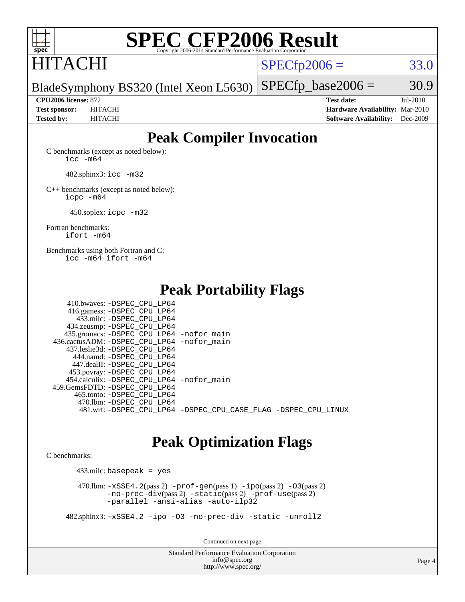

# **[SPEC CFP2006 Result](http://www.spec.org/auto/cpu2006/Docs/result-fields.html#SPECCFP2006Result)**

# HITACHI

 $SPECTp2006 = 33.0$ 

BladeSymphony BS320 (Intel Xeon L5630)  $SPECTp\_base2006 = 30.9$ 

**[CPU2006 license:](http://www.spec.org/auto/cpu2006/Docs/result-fields.html#CPU2006license)** 872 **[Test date:](http://www.spec.org/auto/cpu2006/Docs/result-fields.html#Testdate)** Jul-2010 **[Test sponsor:](http://www.spec.org/auto/cpu2006/Docs/result-fields.html#Testsponsor)** HITACHI **[Hardware Availability:](http://www.spec.org/auto/cpu2006/Docs/result-fields.html#HardwareAvailability)** Mar-2010 **[Tested by:](http://www.spec.org/auto/cpu2006/Docs/result-fields.html#Testedby)** HITACHI **[Software Availability:](http://www.spec.org/auto/cpu2006/Docs/result-fields.html#SoftwareAvailability)** Dec-2009

### **[Peak Compiler Invocation](http://www.spec.org/auto/cpu2006/Docs/result-fields.html#PeakCompilerInvocation)**

[C benchmarks \(except as noted below\)](http://www.spec.org/auto/cpu2006/Docs/result-fields.html#Cbenchmarksexceptasnotedbelow): [icc -m64](http://www.spec.org/cpu2006/results/res2010q3/cpu2006-20100914-13315.flags.html#user_CCpeak_intel_icc_64bit_bda6cc9af1fdbb0edc3795bac97ada53)

482.sphinx3: [icc -m32](http://www.spec.org/cpu2006/results/res2010q3/cpu2006-20100914-13315.flags.html#user_peakCCLD482_sphinx3_intel_icc_32bit_a6a621f8d50482236b970c6ac5f55f93)

[C++ benchmarks \(except as noted below\):](http://www.spec.org/auto/cpu2006/Docs/result-fields.html#CXXbenchmarksexceptasnotedbelow) [icpc -m64](http://www.spec.org/cpu2006/results/res2010q3/cpu2006-20100914-13315.flags.html#user_CXXpeak_intel_icpc_64bit_fc66a5337ce925472a5c54ad6a0de310)

450.soplex: [icpc -m32](http://www.spec.org/cpu2006/results/res2010q3/cpu2006-20100914-13315.flags.html#user_peakCXXLD450_soplex_intel_icpc_32bit_4e5a5ef1a53fd332b3c49e69c3330699)

[Fortran benchmarks](http://www.spec.org/auto/cpu2006/Docs/result-fields.html#Fortranbenchmarks): [ifort -m64](http://www.spec.org/cpu2006/results/res2010q3/cpu2006-20100914-13315.flags.html#user_FCpeak_intel_ifort_64bit_ee9d0fb25645d0210d97eb0527dcc06e)

[Benchmarks using both Fortran and C](http://www.spec.org/auto/cpu2006/Docs/result-fields.html#BenchmarksusingbothFortranandC): [icc -m64](http://www.spec.org/cpu2006/results/res2010q3/cpu2006-20100914-13315.flags.html#user_CC_FCpeak_intel_icc_64bit_bda6cc9af1fdbb0edc3795bac97ada53) [ifort -m64](http://www.spec.org/cpu2006/results/res2010q3/cpu2006-20100914-13315.flags.html#user_CC_FCpeak_intel_ifort_64bit_ee9d0fb25645d0210d97eb0527dcc06e)

**[Peak Portability Flags](http://www.spec.org/auto/cpu2006/Docs/result-fields.html#PeakPortabilityFlags)**

 410.bwaves: [-DSPEC\\_CPU\\_LP64](http://www.spec.org/cpu2006/results/res2010q3/cpu2006-20100914-13315.flags.html#suite_peakPORTABILITY410_bwaves_DSPEC_CPU_LP64) 416.gamess: [-DSPEC\\_CPU\\_LP64](http://www.spec.org/cpu2006/results/res2010q3/cpu2006-20100914-13315.flags.html#suite_peakPORTABILITY416_gamess_DSPEC_CPU_LP64) 433.milc: [-DSPEC\\_CPU\\_LP64](http://www.spec.org/cpu2006/results/res2010q3/cpu2006-20100914-13315.flags.html#suite_peakPORTABILITY433_milc_DSPEC_CPU_LP64) 434.zeusmp: [-DSPEC\\_CPU\\_LP64](http://www.spec.org/cpu2006/results/res2010q3/cpu2006-20100914-13315.flags.html#suite_peakPORTABILITY434_zeusmp_DSPEC_CPU_LP64) 435.gromacs: [-DSPEC\\_CPU\\_LP64](http://www.spec.org/cpu2006/results/res2010q3/cpu2006-20100914-13315.flags.html#suite_peakPORTABILITY435_gromacs_DSPEC_CPU_LP64) [-nofor\\_main](http://www.spec.org/cpu2006/results/res2010q3/cpu2006-20100914-13315.flags.html#user_peakLDPORTABILITY435_gromacs_f-nofor_main) 436.cactusADM: [-DSPEC\\_CPU\\_LP64](http://www.spec.org/cpu2006/results/res2010q3/cpu2006-20100914-13315.flags.html#suite_peakPORTABILITY436_cactusADM_DSPEC_CPU_LP64) [-nofor\\_main](http://www.spec.org/cpu2006/results/res2010q3/cpu2006-20100914-13315.flags.html#user_peakLDPORTABILITY436_cactusADM_f-nofor_main) 437.leslie3d: [-DSPEC\\_CPU\\_LP64](http://www.spec.org/cpu2006/results/res2010q3/cpu2006-20100914-13315.flags.html#suite_peakPORTABILITY437_leslie3d_DSPEC_CPU_LP64) 444.namd: [-DSPEC\\_CPU\\_LP64](http://www.spec.org/cpu2006/results/res2010q3/cpu2006-20100914-13315.flags.html#suite_peakPORTABILITY444_namd_DSPEC_CPU_LP64) 447.dealII: [-DSPEC\\_CPU\\_LP64](http://www.spec.org/cpu2006/results/res2010q3/cpu2006-20100914-13315.flags.html#suite_peakPORTABILITY447_dealII_DSPEC_CPU_LP64) 453.povray: [-DSPEC\\_CPU\\_LP64](http://www.spec.org/cpu2006/results/res2010q3/cpu2006-20100914-13315.flags.html#suite_peakPORTABILITY453_povray_DSPEC_CPU_LP64) 454.calculix: [-DSPEC\\_CPU\\_LP64](http://www.spec.org/cpu2006/results/res2010q3/cpu2006-20100914-13315.flags.html#suite_peakPORTABILITY454_calculix_DSPEC_CPU_LP64) [-nofor\\_main](http://www.spec.org/cpu2006/results/res2010q3/cpu2006-20100914-13315.flags.html#user_peakLDPORTABILITY454_calculix_f-nofor_main) 459.GemsFDTD: [-DSPEC\\_CPU\\_LP64](http://www.spec.org/cpu2006/results/res2010q3/cpu2006-20100914-13315.flags.html#suite_peakPORTABILITY459_GemsFDTD_DSPEC_CPU_LP64) 465.tonto: [-DSPEC\\_CPU\\_LP64](http://www.spec.org/cpu2006/results/res2010q3/cpu2006-20100914-13315.flags.html#suite_peakPORTABILITY465_tonto_DSPEC_CPU_LP64) 470.lbm: [-DSPEC\\_CPU\\_LP64](http://www.spec.org/cpu2006/results/res2010q3/cpu2006-20100914-13315.flags.html#suite_peakPORTABILITY470_lbm_DSPEC_CPU_LP64) 481.wrf: [-DSPEC\\_CPU\\_LP64](http://www.spec.org/cpu2006/results/res2010q3/cpu2006-20100914-13315.flags.html#suite_peakPORTABILITY481_wrf_DSPEC_CPU_LP64) [-DSPEC\\_CPU\\_CASE\\_FLAG](http://www.spec.org/cpu2006/results/res2010q3/cpu2006-20100914-13315.flags.html#b481.wrf_peakCPORTABILITY_DSPEC_CPU_CASE_FLAG) [-DSPEC\\_CPU\\_LINUX](http://www.spec.org/cpu2006/results/res2010q3/cpu2006-20100914-13315.flags.html#b481.wrf_peakCPORTABILITY_DSPEC_CPU_LINUX)

### **[Peak Optimization Flags](http://www.spec.org/auto/cpu2006/Docs/result-fields.html#PeakOptimizationFlags)**

[C benchmarks](http://www.spec.org/auto/cpu2006/Docs/result-fields.html#Cbenchmarks):

433.milc: basepeak = yes

 470.lbm: [-xSSE4.2](http://www.spec.org/cpu2006/results/res2010q3/cpu2006-20100914-13315.flags.html#user_peakPASS2_CFLAGSPASS2_LDFLAGS470_lbm_f-xSSE42_f91528193cf0b216347adb8b939d4107)(pass 2) [-prof-gen](http://www.spec.org/cpu2006/results/res2010q3/cpu2006-20100914-13315.flags.html#user_peakPASS1_CFLAGSPASS1_LDFLAGS470_lbm_prof_gen_e43856698f6ca7b7e442dfd80e94a8fc)(pass 1) [-ipo](http://www.spec.org/cpu2006/results/res2010q3/cpu2006-20100914-13315.flags.html#user_peakPASS2_CFLAGSPASS2_LDFLAGS470_lbm_f-ipo)(pass 2) [-O3](http://www.spec.org/cpu2006/results/res2010q3/cpu2006-20100914-13315.flags.html#user_peakPASS2_CFLAGSPASS2_LDFLAGS470_lbm_f-O3)(pass 2) [-no-prec-div](http://www.spec.org/cpu2006/results/res2010q3/cpu2006-20100914-13315.flags.html#user_peakPASS2_CFLAGSPASS2_LDFLAGS470_lbm_f-no-prec-div)(pass 2) [-static](http://www.spec.org/cpu2006/results/res2010q3/cpu2006-20100914-13315.flags.html#user_peakPASS2_CFLAGSPASS2_LDFLAGS470_lbm_f-static)(pass 2) [-prof-use](http://www.spec.org/cpu2006/results/res2010q3/cpu2006-20100914-13315.flags.html#user_peakPASS2_CFLAGSPASS2_LDFLAGS470_lbm_prof_use_bccf7792157ff70d64e32fe3e1250b55)(pass 2) [-parallel](http://www.spec.org/cpu2006/results/res2010q3/cpu2006-20100914-13315.flags.html#user_peakOPTIMIZE470_lbm_f-parallel) [-ansi-alias](http://www.spec.org/cpu2006/results/res2010q3/cpu2006-20100914-13315.flags.html#user_peakOPTIMIZE470_lbm_f-ansi-alias) [-auto-ilp32](http://www.spec.org/cpu2006/results/res2010q3/cpu2006-20100914-13315.flags.html#user_peakCOPTIMIZE470_lbm_f-auto-ilp32)

482.sphinx3: [-xSSE4.2](http://www.spec.org/cpu2006/results/res2010q3/cpu2006-20100914-13315.flags.html#user_peakOPTIMIZE482_sphinx3_f-xSSE42_f91528193cf0b216347adb8b939d4107) [-ipo](http://www.spec.org/cpu2006/results/res2010q3/cpu2006-20100914-13315.flags.html#user_peakOPTIMIZE482_sphinx3_f-ipo) [-O3](http://www.spec.org/cpu2006/results/res2010q3/cpu2006-20100914-13315.flags.html#user_peakOPTIMIZE482_sphinx3_f-O3) [-no-prec-div](http://www.spec.org/cpu2006/results/res2010q3/cpu2006-20100914-13315.flags.html#user_peakOPTIMIZE482_sphinx3_f-no-prec-div) [-static](http://www.spec.org/cpu2006/results/res2010q3/cpu2006-20100914-13315.flags.html#user_peakOPTIMIZE482_sphinx3_f-static) [-unroll2](http://www.spec.org/cpu2006/results/res2010q3/cpu2006-20100914-13315.flags.html#user_peakCOPTIMIZE482_sphinx3_f-unroll_784dae83bebfb236979b41d2422d7ec2)

Continued on next page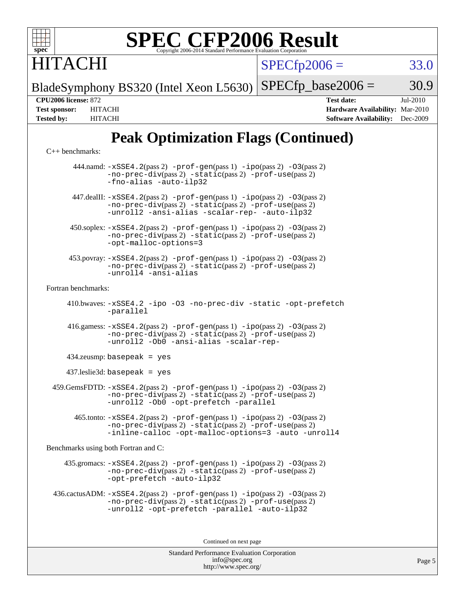

#### **[SPEC CFP2006 Result](http://www.spec.org/auto/cpu2006/Docs/result-fields.html#SPECCFP2006Result)** Copyright 2006-2014 Standard Performance Eva

**ITACHI** 

 $SPECfp2006 = 33.0$  $SPECfp2006 = 33.0$ 

BladeSymphony BS320 (Intel Xeon L5630)  $SPECTp\_base2006 = 30.9$ 

**[CPU2006 license:](http://www.spec.org/auto/cpu2006/Docs/result-fields.html#CPU2006license)** 872 **[Test date:](http://www.spec.org/auto/cpu2006/Docs/result-fields.html#Testdate)** Jul-2010 **[Test sponsor:](http://www.spec.org/auto/cpu2006/Docs/result-fields.html#Testsponsor)** HITACHI **[Hardware Availability:](http://www.spec.org/auto/cpu2006/Docs/result-fields.html#HardwareAvailability)** Mar-2010 **[Tested by:](http://www.spec.org/auto/cpu2006/Docs/result-fields.html#Testedby)** HITACHI **[Software Availability:](http://www.spec.org/auto/cpu2006/Docs/result-fields.html#SoftwareAvailability)** Dec-2009

### **[Peak Optimization Flags \(Continued\)](http://www.spec.org/auto/cpu2006/Docs/result-fields.html#PeakOptimizationFlags)**

[C++ benchmarks:](http://www.spec.org/auto/cpu2006/Docs/result-fields.html#CXXbenchmarks)

 444.namd: [-xSSE4.2](http://www.spec.org/cpu2006/results/res2010q3/cpu2006-20100914-13315.flags.html#user_peakPASS2_CXXFLAGSPASS2_LDFLAGS444_namd_f-xSSE42_f91528193cf0b216347adb8b939d4107)(pass 2) [-prof-gen](http://www.spec.org/cpu2006/results/res2010q3/cpu2006-20100914-13315.flags.html#user_peakPASS1_CXXFLAGSPASS1_LDFLAGS444_namd_prof_gen_e43856698f6ca7b7e442dfd80e94a8fc)(pass 1) [-ipo](http://www.spec.org/cpu2006/results/res2010q3/cpu2006-20100914-13315.flags.html#user_peakPASS2_CXXFLAGSPASS2_LDFLAGS444_namd_f-ipo)(pass 2) [-O3](http://www.spec.org/cpu2006/results/res2010q3/cpu2006-20100914-13315.flags.html#user_peakPASS2_CXXFLAGSPASS2_LDFLAGS444_namd_f-O3)(pass 2) [-no-prec-div](http://www.spec.org/cpu2006/results/res2010q3/cpu2006-20100914-13315.flags.html#user_peakPASS2_CXXFLAGSPASS2_LDFLAGS444_namd_f-no-prec-div)(pass 2) [-static](http://www.spec.org/cpu2006/results/res2010q3/cpu2006-20100914-13315.flags.html#user_peakPASS2_CXXFLAGSPASS2_LDFLAGS444_namd_f-static)(pass 2) [-prof-use](http://www.spec.org/cpu2006/results/res2010q3/cpu2006-20100914-13315.flags.html#user_peakPASS2_CXXFLAGSPASS2_LDFLAGS444_namd_prof_use_bccf7792157ff70d64e32fe3e1250b55)(pass 2) [-fno-alias](http://www.spec.org/cpu2006/results/res2010q3/cpu2006-20100914-13315.flags.html#user_peakOPTIMIZE444_namd_f-no-alias_694e77f6c5a51e658e82ccff53a9e63a) [-auto-ilp32](http://www.spec.org/cpu2006/results/res2010q3/cpu2006-20100914-13315.flags.html#user_peakCXXOPTIMIZE444_namd_f-auto-ilp32)  $447$ .dealII:  $-xSSE4$ .  $2(pass 2)$  [-prof-gen](http://www.spec.org/cpu2006/results/res2010q3/cpu2006-20100914-13315.flags.html#user_peakPASS1_CXXFLAGSPASS1_LDFLAGS447_dealII_prof_gen_e43856698f6ca7b7e442dfd80e94a8fc)(pass 1) [-ipo](http://www.spec.org/cpu2006/results/res2010q3/cpu2006-20100914-13315.flags.html#user_peakPASS2_CXXFLAGSPASS2_LDFLAGS447_dealII_f-ipo)(pass 2) -03(pass 2) [-no-prec-div](http://www.spec.org/cpu2006/results/res2010q3/cpu2006-20100914-13315.flags.html#user_peakPASS2_CXXFLAGSPASS2_LDFLAGS447_dealII_f-no-prec-div)(pass 2) [-static](http://www.spec.org/cpu2006/results/res2010q3/cpu2006-20100914-13315.flags.html#user_peakPASS2_CXXFLAGSPASS2_LDFLAGS447_dealII_f-static)(pass 2) [-prof-use](http://www.spec.org/cpu2006/results/res2010q3/cpu2006-20100914-13315.flags.html#user_peakPASS2_CXXFLAGSPASS2_LDFLAGS447_dealII_prof_use_bccf7792157ff70d64e32fe3e1250b55)(pass 2) [-unroll2](http://www.spec.org/cpu2006/results/res2010q3/cpu2006-20100914-13315.flags.html#user_peakOPTIMIZE447_dealII_f-unroll_784dae83bebfb236979b41d2422d7ec2) [-ansi-alias](http://www.spec.org/cpu2006/results/res2010q3/cpu2006-20100914-13315.flags.html#user_peakOPTIMIZE447_dealII_f-ansi-alias) [-scalar-rep-](http://www.spec.org/cpu2006/results/res2010q3/cpu2006-20100914-13315.flags.html#user_peakOPTIMIZE447_dealII_f-disablescalarrep_abbcad04450fb118e4809c81d83c8a1d) [-auto-ilp32](http://www.spec.org/cpu2006/results/res2010q3/cpu2006-20100914-13315.flags.html#user_peakCXXOPTIMIZE447_dealII_f-auto-ilp32) 450.soplex: [-xSSE4.2](http://www.spec.org/cpu2006/results/res2010q3/cpu2006-20100914-13315.flags.html#user_peakPASS2_CXXFLAGSPASS2_LDFLAGS450_soplex_f-xSSE42_f91528193cf0b216347adb8b939d4107)(pass 2) [-prof-gen](http://www.spec.org/cpu2006/results/res2010q3/cpu2006-20100914-13315.flags.html#user_peakPASS1_CXXFLAGSPASS1_LDFLAGS450_soplex_prof_gen_e43856698f6ca7b7e442dfd80e94a8fc)(pass 1) [-ipo](http://www.spec.org/cpu2006/results/res2010q3/cpu2006-20100914-13315.flags.html#user_peakPASS2_CXXFLAGSPASS2_LDFLAGS450_soplex_f-ipo)(pass 2) [-O3](http://www.spec.org/cpu2006/results/res2010q3/cpu2006-20100914-13315.flags.html#user_peakPASS2_CXXFLAGSPASS2_LDFLAGS450_soplex_f-O3)(pass 2) [-no-prec-div](http://www.spec.org/cpu2006/results/res2010q3/cpu2006-20100914-13315.flags.html#user_peakPASS2_CXXFLAGSPASS2_LDFLAGS450_soplex_f-no-prec-div)(pass 2) [-static](http://www.spec.org/cpu2006/results/res2010q3/cpu2006-20100914-13315.flags.html#user_peakPASS2_CXXFLAGSPASS2_LDFLAGS450_soplex_f-static)(pass 2) [-prof-use](http://www.spec.org/cpu2006/results/res2010q3/cpu2006-20100914-13315.flags.html#user_peakPASS2_CXXFLAGSPASS2_LDFLAGS450_soplex_prof_use_bccf7792157ff70d64e32fe3e1250b55)(pass 2) [-opt-malloc-options=3](http://www.spec.org/cpu2006/results/res2010q3/cpu2006-20100914-13315.flags.html#user_peakOPTIMIZE450_soplex_f-opt-malloc-options_13ab9b803cf986b4ee62f0a5998c2238) 453.povray: [-xSSE4.2](http://www.spec.org/cpu2006/results/res2010q3/cpu2006-20100914-13315.flags.html#user_peakPASS2_CXXFLAGSPASS2_LDFLAGS453_povray_f-xSSE42_f91528193cf0b216347adb8b939d4107)(pass 2) [-prof-gen](http://www.spec.org/cpu2006/results/res2010q3/cpu2006-20100914-13315.flags.html#user_peakPASS1_CXXFLAGSPASS1_LDFLAGS453_povray_prof_gen_e43856698f6ca7b7e442dfd80e94a8fc)(pass 1) [-ipo](http://www.spec.org/cpu2006/results/res2010q3/cpu2006-20100914-13315.flags.html#user_peakPASS2_CXXFLAGSPASS2_LDFLAGS453_povray_f-ipo)(pass 2) [-O3](http://www.spec.org/cpu2006/results/res2010q3/cpu2006-20100914-13315.flags.html#user_peakPASS2_CXXFLAGSPASS2_LDFLAGS453_povray_f-O3)(pass 2) [-no-prec-div](http://www.spec.org/cpu2006/results/res2010q3/cpu2006-20100914-13315.flags.html#user_peakPASS2_CXXFLAGSPASS2_LDFLAGS453_povray_f-no-prec-div)(pass 2) [-static](http://www.spec.org/cpu2006/results/res2010q3/cpu2006-20100914-13315.flags.html#user_peakPASS2_CXXFLAGSPASS2_LDFLAGS453_povray_f-static)(pass 2) [-prof-use](http://www.spec.org/cpu2006/results/res2010q3/cpu2006-20100914-13315.flags.html#user_peakPASS2_CXXFLAGSPASS2_LDFLAGS453_povray_prof_use_bccf7792157ff70d64e32fe3e1250b55)(pass 2) [-unroll4](http://www.spec.org/cpu2006/results/res2010q3/cpu2006-20100914-13315.flags.html#user_peakCXXOPTIMIZE453_povray_f-unroll_4e5e4ed65b7fd20bdcd365bec371b81f) [-ansi-alias](http://www.spec.org/cpu2006/results/res2010q3/cpu2006-20100914-13315.flags.html#user_peakCXXOPTIMIZE453_povray_f-ansi-alias) [Fortran benchmarks](http://www.spec.org/auto/cpu2006/Docs/result-fields.html#Fortranbenchmarks): 410.bwaves: [-xSSE4.2](http://www.spec.org/cpu2006/results/res2010q3/cpu2006-20100914-13315.flags.html#user_peakOPTIMIZE410_bwaves_f-xSSE42_f91528193cf0b216347adb8b939d4107) [-ipo](http://www.spec.org/cpu2006/results/res2010q3/cpu2006-20100914-13315.flags.html#user_peakOPTIMIZE410_bwaves_f-ipo) [-O3](http://www.spec.org/cpu2006/results/res2010q3/cpu2006-20100914-13315.flags.html#user_peakOPTIMIZE410_bwaves_f-O3) [-no-prec-div](http://www.spec.org/cpu2006/results/res2010q3/cpu2006-20100914-13315.flags.html#user_peakOPTIMIZE410_bwaves_f-no-prec-div) [-static](http://www.spec.org/cpu2006/results/res2010q3/cpu2006-20100914-13315.flags.html#user_peakOPTIMIZE410_bwaves_f-static) [-opt-prefetch](http://www.spec.org/cpu2006/results/res2010q3/cpu2006-20100914-13315.flags.html#user_peakOPTIMIZE410_bwaves_f-opt-prefetch) [-parallel](http://www.spec.org/cpu2006/results/res2010q3/cpu2006-20100914-13315.flags.html#user_peakOPTIMIZE410_bwaves_f-parallel) 416.gamess:  $-xSSE4$ . 2(pass 2)  $-prof-gen(pass 1) -ipo(pass 2) -O3(pass 2)$  $-prof-gen(pass 1) -ipo(pass 2) -O3(pass 2)$  $-prof-gen(pass 1) -ipo(pass 2) -O3(pass 2)$  $-prof-gen(pass 1) -ipo(pass 2) -O3(pass 2)$  $-prof-gen(pass 1) -ipo(pass 2) -O3(pass 2)$  $-prof-gen(pass 1) -ipo(pass 2) -O3(pass 2)$ [-no-prec-div](http://www.spec.org/cpu2006/results/res2010q3/cpu2006-20100914-13315.flags.html#user_peakPASS2_FFLAGSPASS2_LDFLAGS416_gamess_f-no-prec-div)(pass 2) [-static](http://www.spec.org/cpu2006/results/res2010q3/cpu2006-20100914-13315.flags.html#user_peakPASS2_FFLAGSPASS2_LDFLAGS416_gamess_f-static)(pass 2) [-prof-use](http://www.spec.org/cpu2006/results/res2010q3/cpu2006-20100914-13315.flags.html#user_peakPASS2_FFLAGSPASS2_LDFLAGS416_gamess_prof_use_bccf7792157ff70d64e32fe3e1250b55)(pass 2) [-unroll2](http://www.spec.org/cpu2006/results/res2010q3/cpu2006-20100914-13315.flags.html#user_peakOPTIMIZE416_gamess_f-unroll_784dae83bebfb236979b41d2422d7ec2) [-Ob0](http://www.spec.org/cpu2006/results/res2010q3/cpu2006-20100914-13315.flags.html#user_peakOPTIMIZE416_gamess_f-Ob_n_fbe6f6428adb7d4b74b1e99bb2444c2d) [-ansi-alias](http://www.spec.org/cpu2006/results/res2010q3/cpu2006-20100914-13315.flags.html#user_peakOPTIMIZE416_gamess_f-ansi-alias) [-scalar-rep-](http://www.spec.org/cpu2006/results/res2010q3/cpu2006-20100914-13315.flags.html#user_peakOPTIMIZE416_gamess_f-disablescalarrep_abbcad04450fb118e4809c81d83c8a1d) 434.zeusmp: basepeak = yes 437.leslie3d: basepeak = yes 459.GemsFDTD: [-xSSE4.2](http://www.spec.org/cpu2006/results/res2010q3/cpu2006-20100914-13315.flags.html#user_peakPASS2_FFLAGSPASS2_LDFLAGS459_GemsFDTD_f-xSSE42_f91528193cf0b216347adb8b939d4107)(pass 2) [-prof-gen](http://www.spec.org/cpu2006/results/res2010q3/cpu2006-20100914-13315.flags.html#user_peakPASS1_FFLAGSPASS1_LDFLAGS459_GemsFDTD_prof_gen_e43856698f6ca7b7e442dfd80e94a8fc)(pass 1) [-ipo](http://www.spec.org/cpu2006/results/res2010q3/cpu2006-20100914-13315.flags.html#user_peakPASS2_FFLAGSPASS2_LDFLAGS459_GemsFDTD_f-ipo)(pass 2) [-O3](http://www.spec.org/cpu2006/results/res2010q3/cpu2006-20100914-13315.flags.html#user_peakPASS2_FFLAGSPASS2_LDFLAGS459_GemsFDTD_f-O3)(pass 2) [-no-prec-div](http://www.spec.org/cpu2006/results/res2010q3/cpu2006-20100914-13315.flags.html#user_peakPASS2_FFLAGSPASS2_LDFLAGS459_GemsFDTD_f-no-prec-div)(pass 2) [-static](http://www.spec.org/cpu2006/results/res2010q3/cpu2006-20100914-13315.flags.html#user_peakPASS2_FFLAGSPASS2_LDFLAGS459_GemsFDTD_f-static)(pass 2) [-prof-use](http://www.spec.org/cpu2006/results/res2010q3/cpu2006-20100914-13315.flags.html#user_peakPASS2_FFLAGSPASS2_LDFLAGS459_GemsFDTD_prof_use_bccf7792157ff70d64e32fe3e1250b55)(pass 2) [-unroll2](http://www.spec.org/cpu2006/results/res2010q3/cpu2006-20100914-13315.flags.html#user_peakOPTIMIZE459_GemsFDTD_f-unroll_784dae83bebfb236979b41d2422d7ec2) [-Ob0](http://www.spec.org/cpu2006/results/res2010q3/cpu2006-20100914-13315.flags.html#user_peakOPTIMIZE459_GemsFDTD_f-Ob_n_fbe6f6428adb7d4b74b1e99bb2444c2d) [-opt-prefetch](http://www.spec.org/cpu2006/results/res2010q3/cpu2006-20100914-13315.flags.html#user_peakOPTIMIZE459_GemsFDTD_f-opt-prefetch) [-parallel](http://www.spec.org/cpu2006/results/res2010q3/cpu2006-20100914-13315.flags.html#user_peakOPTIMIZE459_GemsFDTD_f-parallel) 465.tonto: [-xSSE4.2](http://www.spec.org/cpu2006/results/res2010q3/cpu2006-20100914-13315.flags.html#user_peakPASS2_FFLAGSPASS2_LDFLAGS465_tonto_f-xSSE42_f91528193cf0b216347adb8b939d4107)(pass 2) [-prof-gen](http://www.spec.org/cpu2006/results/res2010q3/cpu2006-20100914-13315.flags.html#user_peakPASS1_FFLAGSPASS1_LDFLAGS465_tonto_prof_gen_e43856698f6ca7b7e442dfd80e94a8fc)(pass 1) [-ipo](http://www.spec.org/cpu2006/results/res2010q3/cpu2006-20100914-13315.flags.html#user_peakPASS2_FFLAGSPASS2_LDFLAGS465_tonto_f-ipo)(pass 2) [-O3](http://www.spec.org/cpu2006/results/res2010q3/cpu2006-20100914-13315.flags.html#user_peakPASS2_FFLAGSPASS2_LDFLAGS465_tonto_f-O3)(pass 2) [-no-prec-div](http://www.spec.org/cpu2006/results/res2010q3/cpu2006-20100914-13315.flags.html#user_peakPASS2_FFLAGSPASS2_LDFLAGS465_tonto_f-no-prec-div)(pass 2) [-static](http://www.spec.org/cpu2006/results/res2010q3/cpu2006-20100914-13315.flags.html#user_peakPASS2_FFLAGSPASS2_LDFLAGS465_tonto_f-static)(pass 2) [-prof-use](http://www.spec.org/cpu2006/results/res2010q3/cpu2006-20100914-13315.flags.html#user_peakPASS2_FFLAGSPASS2_LDFLAGS465_tonto_prof_use_bccf7792157ff70d64e32fe3e1250b55)(pass 2) [-inline-calloc](http://www.spec.org/cpu2006/results/res2010q3/cpu2006-20100914-13315.flags.html#user_peakOPTIMIZE465_tonto_f-inline-calloc) [-opt-malloc-options=3](http://www.spec.org/cpu2006/results/res2010q3/cpu2006-20100914-13315.flags.html#user_peakOPTIMIZE465_tonto_f-opt-malloc-options_13ab9b803cf986b4ee62f0a5998c2238) [-auto](http://www.spec.org/cpu2006/results/res2010q3/cpu2006-20100914-13315.flags.html#user_peakOPTIMIZE465_tonto_f-auto) [-unroll4](http://www.spec.org/cpu2006/results/res2010q3/cpu2006-20100914-13315.flags.html#user_peakOPTIMIZE465_tonto_f-unroll_4e5e4ed65b7fd20bdcd365bec371b81f) [Benchmarks using both Fortran and C](http://www.spec.org/auto/cpu2006/Docs/result-fields.html#BenchmarksusingbothFortranandC): 435.gromacs: [-xSSE4.2](http://www.spec.org/cpu2006/results/res2010q3/cpu2006-20100914-13315.flags.html#user_peakPASS2_CFLAGSPASS2_FFLAGSPASS2_LDFLAGS435_gromacs_f-xSSE42_f91528193cf0b216347adb8b939d4107)(pass 2) [-prof-gen](http://www.spec.org/cpu2006/results/res2010q3/cpu2006-20100914-13315.flags.html#user_peakPASS1_CFLAGSPASS1_FFLAGSPASS1_LDFLAGS435_gromacs_prof_gen_e43856698f6ca7b7e442dfd80e94a8fc)(pass 1) [-ipo](http://www.spec.org/cpu2006/results/res2010q3/cpu2006-20100914-13315.flags.html#user_peakPASS2_CFLAGSPASS2_FFLAGSPASS2_LDFLAGS435_gromacs_f-ipo)(pass 2) [-O3](http://www.spec.org/cpu2006/results/res2010q3/cpu2006-20100914-13315.flags.html#user_peakPASS2_CFLAGSPASS2_FFLAGSPASS2_LDFLAGS435_gromacs_f-O3)(pass 2) [-no-prec-div](http://www.spec.org/cpu2006/results/res2010q3/cpu2006-20100914-13315.flags.html#user_peakPASS2_CFLAGSPASS2_FFLAGSPASS2_LDFLAGS435_gromacs_f-no-prec-div)(pass 2) [-static](http://www.spec.org/cpu2006/results/res2010q3/cpu2006-20100914-13315.flags.html#user_peakPASS2_CFLAGSPASS2_FFLAGSPASS2_LDFLAGS435_gromacs_f-static)(pass 2) [-prof-use](http://www.spec.org/cpu2006/results/res2010q3/cpu2006-20100914-13315.flags.html#user_peakPASS2_CFLAGSPASS2_FFLAGSPASS2_LDFLAGS435_gromacs_prof_use_bccf7792157ff70d64e32fe3e1250b55)(pass 2) [-opt-prefetch](http://www.spec.org/cpu2006/results/res2010q3/cpu2006-20100914-13315.flags.html#user_peakOPTIMIZE435_gromacs_f-opt-prefetch) [-auto-ilp32](http://www.spec.org/cpu2006/results/res2010q3/cpu2006-20100914-13315.flags.html#user_peakCOPTIMIZE435_gromacs_f-auto-ilp32) 436.cactusADM: [-xSSE4.2](http://www.spec.org/cpu2006/results/res2010q3/cpu2006-20100914-13315.flags.html#user_peakPASS2_CFLAGSPASS2_FFLAGSPASS2_LDFLAGS436_cactusADM_f-xSSE42_f91528193cf0b216347adb8b939d4107)(pass 2) [-prof-gen](http://www.spec.org/cpu2006/results/res2010q3/cpu2006-20100914-13315.flags.html#user_peakPASS1_CFLAGSPASS1_FFLAGSPASS1_LDFLAGS436_cactusADM_prof_gen_e43856698f6ca7b7e442dfd80e94a8fc)(pass 1) [-ipo](http://www.spec.org/cpu2006/results/res2010q3/cpu2006-20100914-13315.flags.html#user_peakPASS2_CFLAGSPASS2_FFLAGSPASS2_LDFLAGS436_cactusADM_f-ipo)(pass 2) [-O3](http://www.spec.org/cpu2006/results/res2010q3/cpu2006-20100914-13315.flags.html#user_peakPASS2_CFLAGSPASS2_FFLAGSPASS2_LDFLAGS436_cactusADM_f-O3)(pass 2) [-no-prec-div](http://www.spec.org/cpu2006/results/res2010q3/cpu2006-20100914-13315.flags.html#user_peakPASS2_CFLAGSPASS2_FFLAGSPASS2_LDFLAGS436_cactusADM_f-no-prec-div)(pass 2) [-static](http://www.spec.org/cpu2006/results/res2010q3/cpu2006-20100914-13315.flags.html#user_peakPASS2_CFLAGSPASS2_FFLAGSPASS2_LDFLAGS436_cactusADM_f-static)(pass 2) [-prof-use](http://www.spec.org/cpu2006/results/res2010q3/cpu2006-20100914-13315.flags.html#user_peakPASS2_CFLAGSPASS2_FFLAGSPASS2_LDFLAGS436_cactusADM_prof_use_bccf7792157ff70d64e32fe3e1250b55)(pass 2) [-unroll2](http://www.spec.org/cpu2006/results/res2010q3/cpu2006-20100914-13315.flags.html#user_peakOPTIMIZE436_cactusADM_f-unroll_784dae83bebfb236979b41d2422d7ec2) [-opt-prefetch](http://www.spec.org/cpu2006/results/res2010q3/cpu2006-20100914-13315.flags.html#user_peakOPTIMIZE436_cactusADM_f-opt-prefetch) [-parallel](http://www.spec.org/cpu2006/results/res2010q3/cpu2006-20100914-13315.flags.html#user_peakOPTIMIZE436_cactusADM_f-parallel) [-auto-ilp32](http://www.spec.org/cpu2006/results/res2010q3/cpu2006-20100914-13315.flags.html#user_peakCOPTIMIZE436_cactusADM_f-auto-ilp32)

Continued on next page